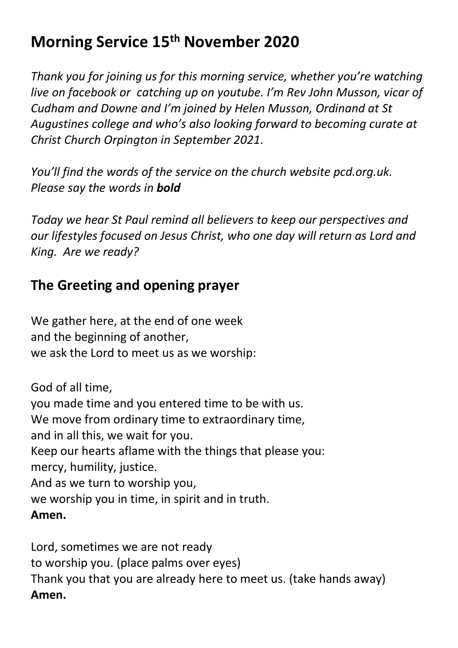# **Morning Service 15th November 2020**

*Thank you for joining us for this morning service, whether you're watching live on facebook or catching up on youtube. I'm Rev John Musson, vicar of Cudham and Downe and I'm joined by Helen Musson, Ordinand at St Augustines college and who's also looking forward to becoming curate at Christ Church Orpington in September 2021.* 

*You'll find the words of the service on the church website pcd.org.uk. Please say the words in bold*

*Today we hear St Paul remind all believers to keep our perspectives and our lifestyles focused on Jesus Christ, who one day will return as Lord and King. Are we ready?*

#### **The Greeting and opening prayer**

We gather here, at the end of one week and the beginning of another, we ask the Lord to meet us as we worship:

God of all time, you made time and you entered time to be with us. We move from ordinary time to extraordinary time, and in all this, we wait for you. Keep our hearts aflame with the things that please you: mercy, humility, justice. And as we turn to worship you, we worship you in time, in spirit and in truth. **Amen.**

Lord, sometimes we are not ready to worship you. (place palms over eyes) Thank you that you are already here to meet us. (take hands away) **Amen.**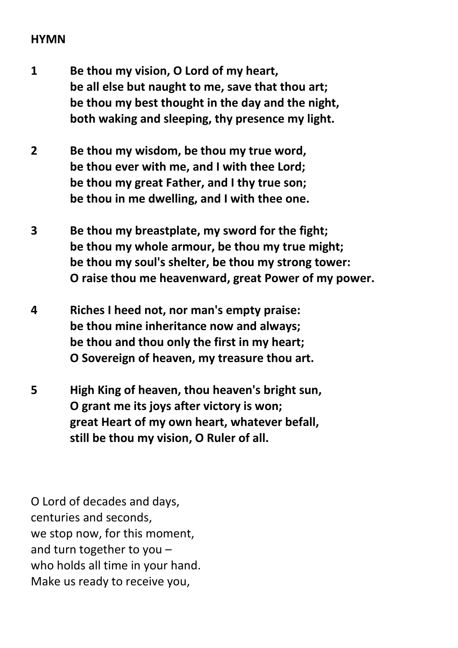#### **HYMN**

- **1 Be thou my vision, O Lord of my heart, be all else but naught to me, save that thou art; be thou my best thought in the day and the night, both waking and sleeping, thy presence my light.**
- **2 Be thou my wisdom, be thou my true word, be thou ever with me, and I with thee Lord; be thou my great Father, and I thy true son; be thou in me dwelling, and I with thee one.**
- **3 Be thou my breastplate, my sword for the fight; be thou my whole armour, be thou my true might; be thou my soul's shelter, be thou my strong tower: O raise thou me heavenward, great Power of my power.**
- **4 Riches I heed not, nor man's empty praise: be thou mine inheritance now and always; be thou and thou only the first in my heart; O Sovereign of heaven, my treasure thou art.**
- **5 High King of heaven, thou heaven's bright sun, O grant me its joys after victory is won; great Heart of my own heart, whatever befall, still be thou my vision, O Ruler of all.**

O Lord of decades and days, centuries and seconds, we stop now, for this moment, and turn together to you – who holds all time in your hand. Make us ready to receive you,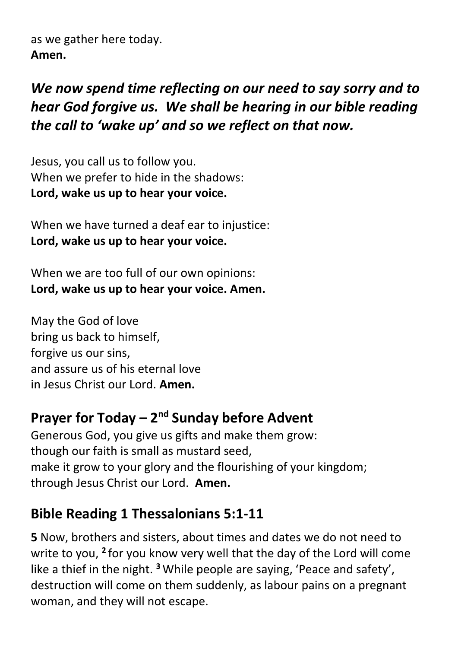as we gather here today. **Amen.**

## *We now spend time reflecting on our need to say sorry and to hear God forgive us. We shall be hearing in our bible reading the call to 'wake up' and so we reflect on that now.*

Jesus, you call us to follow you. When we prefer to hide in the shadows: **Lord, wake us up to hear your voice.**

When we have turned a deaf ear to injustice: **Lord, wake us up to hear your voice.**

When we are too full of our own opinions: **Lord, wake us up to hear your voice. Amen.**

May the God of love bring us back to himself, forgive us our sins, and assure us of his eternal love in Jesus Christ our Lord. **Amen.**

## **Prayer for Today – 2<sup>nd</sup> Sunday before Advent**

Generous God, you give us gifts and make them grow: though our faith is small as mustard seed, make it grow to your glory and the flourishing of your kingdom; through Jesus Christ our Lord. **Amen.**

#### **Bible Reading 1 Thessalonians 5:1-11**

**5** Now, brothers and sisters, about times and dates we do not need to write to you, <sup>2</sup> for you know very well that the day of the Lord will come like a thief in the night. **<sup>3</sup>**While people are saying, 'Peace and safety', destruction will come on them suddenly, as labour pains on a pregnant woman, and they will not escape.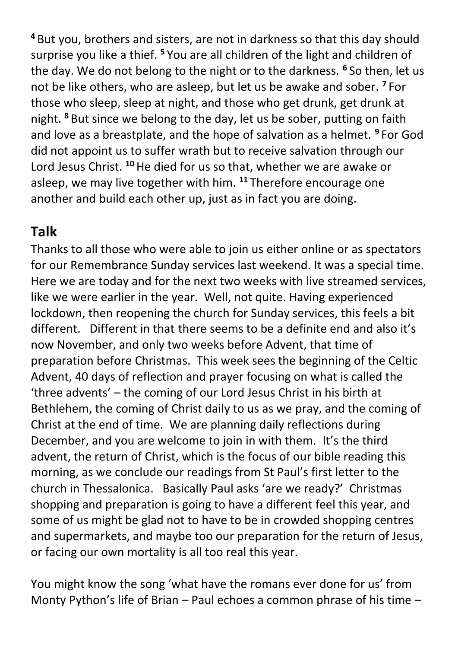**<sup>4</sup>** But you, brothers and sisters, are not in darkness so that this day should surprise you like a thief. **<sup>5</sup>** You are all children of the light and children of the day. We do not belong to the night or to the darkness. **<sup>6</sup>** So then, let us not be like others, who are asleep, but let us be awake and sober. **<sup>7</sup>** For those who sleep, sleep at night, and those who get drunk, get drunk at night. **<sup>8</sup>** But since we belong to the day, let us be sober, putting on faith and love as a breastplate, and the hope of salvation as a helmet. **<sup>9</sup>** For God did not appoint us to suffer wrath but to receive salvation through our Lord Jesus Christ. **<sup>10</sup>**He died for us so that, whether we are awake or asleep, we may live together with him. **<sup>11</sup>** Therefore encourage one another and build each other up, just as in fact you are doing.

#### **Talk**

Thanks to all those who were able to join us either online or as spectators for our Remembrance Sunday services last weekend. It was a special time. Here we are today and for the next two weeks with live streamed services, like we were earlier in the year. Well, not quite. Having experienced lockdown, then reopening the church for Sunday services, this feels a bit different. Different in that there seems to be a definite end and also it's now November, and only two weeks before Advent, that time of preparation before Christmas. This week sees the beginning of the Celtic Advent, 40 days of reflection and prayer focusing on what is called the 'three advents' – the coming of our Lord Jesus Christ in his birth at Bethlehem, the coming of Christ daily to us as we pray, and the coming of Christ at the end of time. We are planning daily reflections during December, and you are welcome to join in with them. It's the third advent, the return of Christ, which is the focus of our bible reading this morning, as we conclude our readings from St Paul's first letter to the church in Thessalonica. Basically Paul asks 'are we ready?' Christmas shopping and preparation is going to have a different feel this year, and some of us might be glad not to have to be in crowded shopping centres and supermarkets, and maybe too our preparation for the return of Jesus, or facing our own mortality is all too real this year.

You might know the song 'what have the romans ever done for us' from Monty Python's life of Brian – Paul echoes a common phrase of his time –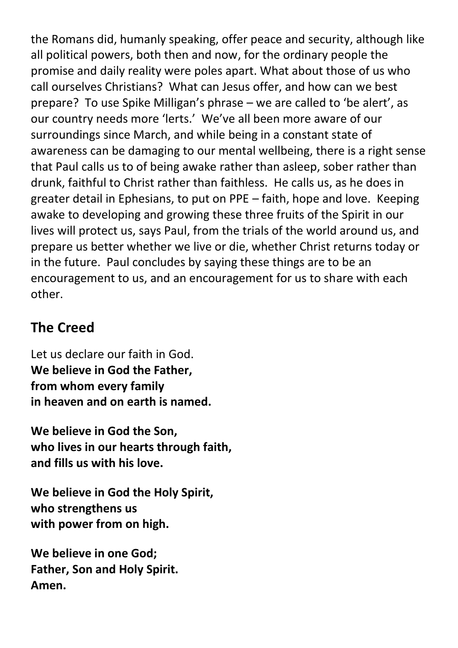the Romans did, humanly speaking, offer peace and security, although like all political powers, both then and now, for the ordinary people the promise and daily reality were poles apart. What about those of us who call ourselves Christians? What can Jesus offer, and how can we best prepare? To use Spike Milligan's phrase – we are called to 'be alert', as our country needs more 'lerts.' We've all been more aware of our surroundings since March, and while being in a constant state of awareness can be damaging to our mental wellbeing, there is a right sense that Paul calls us to of being awake rather than asleep, sober rather than drunk, faithful to Christ rather than faithless. He calls us, as he does in greater detail in Ephesians, to put on PPE – faith, hope and love. Keeping awake to developing and growing these three fruits of the Spirit in our lives will protect us, says Paul, from the trials of the world around us, and prepare us better whether we live or die, whether Christ returns today or in the future. Paul concludes by saying these things are to be an encouragement to us, and an encouragement for us to share with each other.

### **The Creed**

Let us declare our faith in God. **We believe in God the Father, from whom every family in heaven and on earth is named.**

**We believe in God the Son, who lives in our hearts through faith, and fills us with his love.**

**We believe in God the Holy Spirit, who strengthens us with power from on high.**

**We believe in one God; Father, Son and Holy Spirit. Amen.**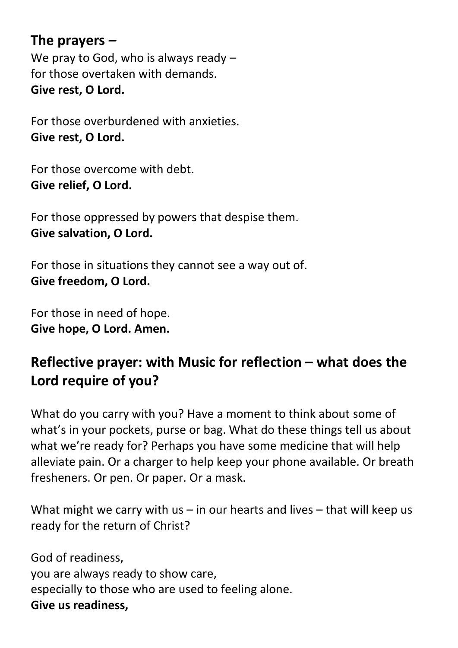**The prayers** *–* We pray to God, who is always ready for those overtaken with demands. **Give rest, O Lord.**

For those overburdened with anxieties. **Give rest, O Lord.**

For those overcome with debt. **Give relief, O Lord.**

For those oppressed by powers that despise them. **Give salvation, O Lord.**

For those in situations they cannot see a way out of. **Give freedom, O Lord.**

For those in need of hope. **Give hope, O Lord. Amen.**

### **Reflective prayer: with Music for reflection – what does the Lord require of you?**

What do you carry with you? Have a moment to think about some of what's in your pockets, purse or bag. What do these things tell us about what we're ready for? Perhaps you have some medicine that will help alleviate pain. Or a charger to help keep your phone available. Or breath fresheners. Or pen. Or paper. Or a mask.

What might we carry with us – in our hearts and lives – that will keep us ready for the return of Christ?

God of readiness, you are always ready to show care, especially to those who are used to feeling alone. **Give us readiness,**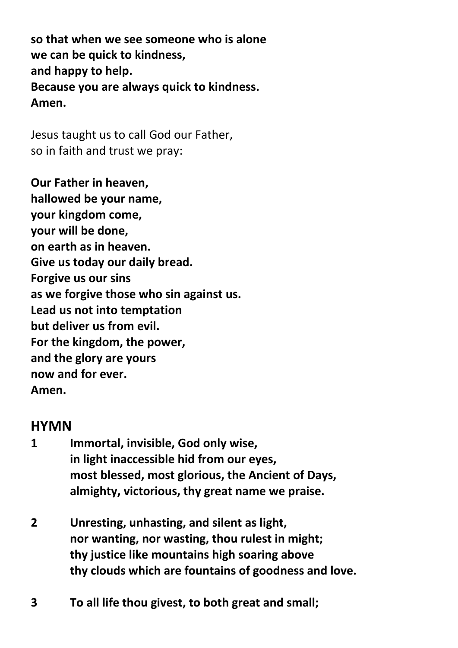**so that when we see someone who is alone we can be quick to kindness, and happy to help. Because you are always quick to kindness. Amen.**

Jesus taught us to call God our Father, so in faith and trust we pray:

**Our Father in heaven, hallowed be your name, your kingdom come, your will be done, on earth as in heaven. Give us today our daily bread. Forgive us our sins as we forgive those who sin against us. Lead us not into temptation but deliver us from evil. For the kingdom, the power, and the glory are yours now and for ever. Amen.**

#### **HYMN**

- **1 Immortal, invisible, God only wise, in light inaccessible hid from our eyes, most blessed, most glorious, the Ancient of Days, almighty, victorious, thy great name we praise.**
- **2 Unresting, unhasting, and silent as light, nor wanting, nor wasting, thou rulest in might; thy justice like mountains high soaring above thy clouds which are fountains of goodness and love.**
- **3 To all life thou givest, to both great and small;**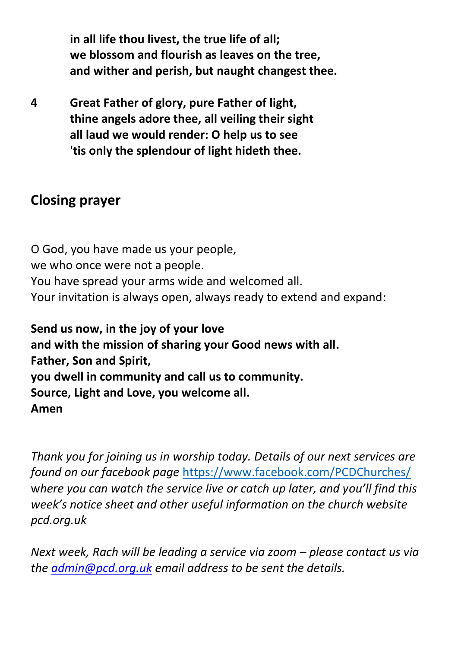**in all life thou livest, the true life of all; we blossom and flourish as leaves on the tree, and wither and perish, but naught changest thee.**

**4 Great Father of glory, pure Father of light, thine angels adore thee, all veiling their sight all laud we would render: O help us to see 'tis only the splendour of light hideth thee.**

#### **Closing prayer**

O God, you have made us your people, we who once were not a people. You have spread your arms wide and welcomed all. Your invitation is always open, always ready to extend and expand:

**Send us now, in the joy of your love and with the mission of sharing your Good news with all. Father, Son and Spirit, you dwell in community and call us to community. Source, Light and Love, you welcome all. Amen**

*Thank you for joining us in worship today. Details of our next services are found on our facebook page* <https://www.facebook.com/PCDChurches/> w*here you can watch the service live or catch up later, and you'll find this week's notice sheet and other useful information on the church website pcd.org.uk*

*Next week, Rach will be leading a service via zoom – please contact us via the [admin@pcd.org.uk](mailto:admin@pcd.org.uk) email address to be sent the details.*